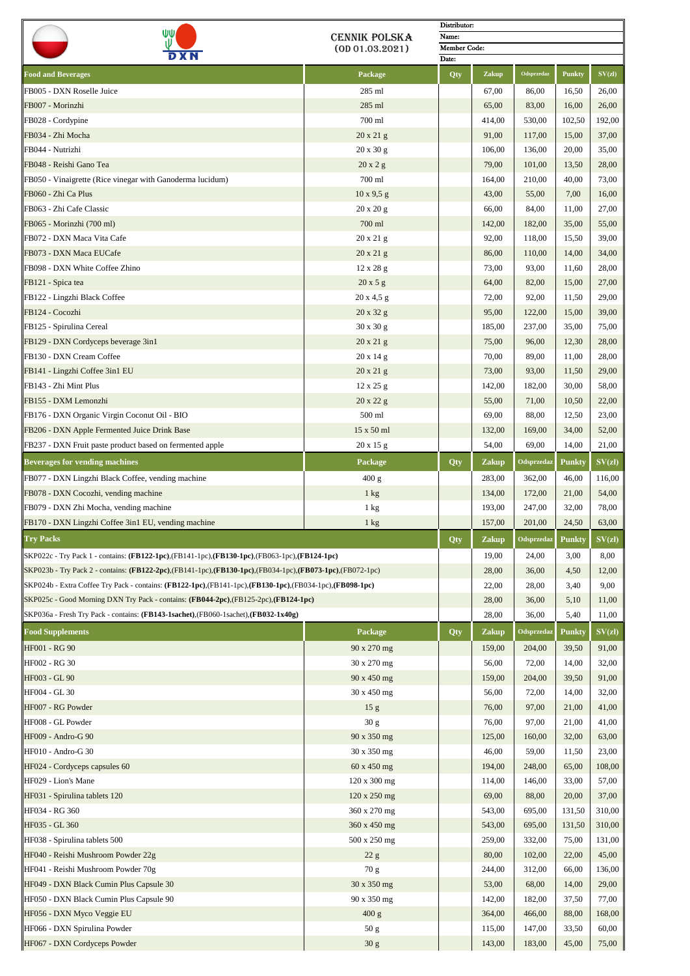| WΨ                                                                                                            |                      | Distributor:          |              |                   |        |        |  |  |
|---------------------------------------------------------------------------------------------------------------|----------------------|-----------------------|--------------|-------------------|--------|--------|--|--|
|                                                                                                               | <b>CENNIK POLSKA</b> | Name:                 |              |                   |        |        |  |  |
|                                                                                                               | (0D01.03.2021)       | Member Code:<br>Date: |              |                   |        |        |  |  |
|                                                                                                               |                      |                       |              |                   |        |        |  |  |
| <b>Food and Beverages</b>                                                                                     | Package              | Qty                   | Zakup        | Odsprzedaz        | Punkty | SV(zl) |  |  |
| FB005 - DXN Roselle Juice                                                                                     | 285 ml               |                       | 67,00        | 86,00             | 16,50  | 26,00  |  |  |
| FB007 - Morinzhi                                                                                              | 285 ml               |                       | 65,00        | 83,00             | 16,00  | 26,00  |  |  |
| FB028 - Cordypine                                                                                             | 700 ml               |                       | 414,00       | 530,00            | 102,50 | 192,00 |  |  |
| FB034 - Zhi Mocha                                                                                             | 20 x 21 g            |                       | 91,00        | 117,00            | 15,00  | 37,00  |  |  |
| FB044 - Nutrizhi                                                                                              | 20 x 30 g            |                       | 106,00       | 136,00            | 20,00  | 35,00  |  |  |
| FB048 - Reishi Gano Tea                                                                                       | 20x2g                |                       | 79,00        | 101,00            | 13,50  | 28,00  |  |  |
| FB050 - Vinaigrette (Rice vinegar with Ganoderma lucidum)                                                     | 700 ml               |                       | 164,00       | 210,00            | 40,00  | 73,00  |  |  |
| FB060 - Zhi Ca Plus                                                                                           | $10 \times 9.5$ g    |                       | 43,00        | 55,00             | 7,00   | 16,00  |  |  |
| FB063 - Zhi Cafe Classic                                                                                      | 20 x 20 g            |                       | 66,00        | 84,00             | 11,00  | 27,00  |  |  |
| FB065 - Morinzhi (700 ml)                                                                                     | 700 ml               |                       | 142,00       | 182,00            | 35,00  | 55,00  |  |  |
| FB072 - DXN Maca Vita Cafe                                                                                    | 20 x 21 g            |                       | 92,00        | 118,00            | 15,50  | 39,00  |  |  |
| FB073 - DXN Maca EUCafe                                                                                       | $20 \times 21$ g     |                       | 86,00        | 110,00            | 14,00  | 34,00  |  |  |
| FB098 - DXN White Coffee Zhino                                                                                |                      |                       |              |                   | 11,60  |        |  |  |
|                                                                                                               | $12 \times 28$ g     |                       | 73,00        | 93,00             |        | 28,00  |  |  |
| FB121 - Spica tea                                                                                             | 20x5g                |                       | 64,00        | 82,00             | 15,00  | 27,00  |  |  |
| FB122 - Lingzhi Black Coffee                                                                                  | $20 \times 4.5$ g    |                       | 72,00        | 92,00             | 11,50  | 29,00  |  |  |
| FB124 - Cocozhi                                                                                               | $20 \times 32$ g     |                       | 95,00        | 122,00            | 15,00  | 39,00  |  |  |
| FB125 - Spirulina Cereal                                                                                      | 30 x 30 g            |                       | 185,00       | 237,00            | 35,00  | 75,00  |  |  |
| FB129 - DXN Cordyceps beverage 3in1                                                                           | $20 \times 21$ g     |                       | 75,00        | 96,00             | 12,30  | 28,00  |  |  |
| FB130 - DXN Cream Coffee                                                                                      | $20 \times 14$ g     |                       | 70,00        | 89,00             | 11,00  | 28,00  |  |  |
| FB141 - Lingzhi Coffee 3in1 EU                                                                                | $20 \times 21$ g     |                       | 73,00        | 93,00             | 11,50  | 29,00  |  |  |
| FB143 - Zhi Mint Plus                                                                                         | $12 \times 25$ g     |                       | 142,00       | 182,00            | 30,00  | 58,00  |  |  |
| FB155 - DXM Lemonzhi                                                                                          | 20 x 22 g            |                       | 55,00        | 71,00             | 10,50  | 22,00  |  |  |
| FB176 - DXN Organic Virgin Coconut Oil - BIO                                                                  | 500 ml               |                       | 69,00        | 88,00             | 12,50  | 23,00  |  |  |
| FB206 - DXN Apple Fermented Juice Drink Base                                                                  | 15 x 50 ml           |                       | 132,00       | 169,00            | 34,00  | 52,00  |  |  |
| FB237 - DXN Fruit paste product based on fermented apple                                                      | $20 \times 15$ g     |                       | 54,00        | 69,00             | 14,00  | 21,00  |  |  |
|                                                                                                               |                      |                       |              |                   |        |        |  |  |
| <b>Beverages for vending machines</b>                                                                         | Package              | Qty                   | <b>Zakup</b> | <b>Odsprzedaz</b> | Punkty | SV(z)  |  |  |
| FB077 - DXN Lingzhi Black Coffee, vending machine                                                             | 400 g                |                       | 283,00       | 362,00            | 46,00  | 116,00 |  |  |
| FB078 - DXN Cocozhi, vending machine                                                                          | $1 \text{ kg}$       |                       | 134,00       | 172,00            | 21,00  | 54,00  |  |  |
| FB079 - DXN Zhi Mocha, vending machine                                                                        | 1 kg                 |                       | 193,00       | 247,00            | 32,00  | 78,00  |  |  |
| FB170 - DXN Lingzhi Coffee 3in1 EU, vending machine                                                           | 1 kg                 |                       | 157,00       | 201,00            | 24,50  | 63,00  |  |  |
| <b>Try Packs</b>                                                                                              |                      | Qty                   | Zakup        | Odsprzedaz        | Punkty | SV(zl) |  |  |
| SKP022c - Try Pack 1 - contains: (FB122-1pc),(FB141-1pc),(FB130-1pc),(FB063-1pc),(FB124-1pc)                  |                      |                       | 19,00        | 24,00             | 3,00   | 8,00   |  |  |
| SKP023b - Try Pack 2 - contains: (FB122-2pc), (FB141-1pc), (FB130-1pc), (FB034-1pc), (FB073-1pc), (FB072-1pc) |                      |                       | 28,00        | 36,00             | 4,50   | 12,00  |  |  |
| SKP024b - Extra Coffee Try Pack - contains: (FB122-1pc), (FB141-1pc), (FB130-1pc), (FB034-1pc), (FB098-1pc)   |                      |                       | 22,00        | 28,00             | 3,40   | 9,00   |  |  |
| SKP025c - Good Morning DXN Try Pack - contains: (FB044-2pc),(FB125-2pc),(FB124-1pc)                           |                      |                       | 28,00        | 36,00             | 5,10   | 11,00  |  |  |
|                                                                                                               |                      |                       |              |                   |        |        |  |  |
| SKP036a - Fresh Try Pack - contains: (FB143-1sachet), (FB060-1sachet), (FB032-1x40g)                          |                      |                       | 28,00        | 36,00             | 5,40   | 11,00  |  |  |
| <b>Food Supplements</b>                                                                                       | Package              | Qty                   | <b>Zakup</b> | Odsprzedaz        | Punkty | SV(z)  |  |  |
| HF001 - RG 90                                                                                                 | 90 x 270 mg          |                       | 159,00       | 204,00            | 39,50  | 91,00  |  |  |
| HF002 - RG 30                                                                                                 | 30 x 270 mg          |                       | 56,00        | 72,00             | 14,00  | 32,00  |  |  |
| HF003 - GL 90                                                                                                 | 90 x 450 mg          |                       | 159,00       | 204,00            | 39,50  | 91,00  |  |  |
| HF004 - GL 30                                                                                                 | 30 x 450 mg          |                       | 56,00        | 72,00             | 14,00  | 32,00  |  |  |
| HF007 - RG Powder                                                                                             | 15 <sub>g</sub>      |                       | 76,00        | 97,00             | 21,00  | 41,00  |  |  |
| HF008 - GL Powder                                                                                             | 30 g                 |                       | 76,00        | 97,00             | 21,00  | 41,00  |  |  |
| HF009 - Andro-G 90                                                                                            | 90 x 350 mg          |                       | 125,00       | 160,00            | 32,00  | 63,00  |  |  |
| HF010 - Andro-G 30                                                                                            | 30 x 350 mg          |                       | 46,00        | 59,00             | 11,50  | 23,00  |  |  |
| HF024 - Cordyceps capsules 60                                                                                 | 60 x 450 mg          |                       | 194,00       | 248,00            | 65,00  | 108,00 |  |  |
|                                                                                                               |                      |                       |              |                   |        |        |  |  |
| HF029 - Lion's Mane                                                                                           | 120 x 300 mg         |                       | 114,00       | 146,00            | 33,00  | 57,00  |  |  |
| HF031 - Spirulina tablets 120                                                                                 | $120 \times 250$ mg  |                       | 69,00        | 88,00             | 20,00  | 37,00  |  |  |
| HF034 - RG 360                                                                                                | 360 x 270 mg         |                       | 543,00       | 695,00            | 131,50 | 310,00 |  |  |
| HF035 - GL 360                                                                                                | 360 x 450 mg         |                       | 543,00       | 695,00            | 131,50 | 310,00 |  |  |
| HF038 - Spirulina tablets 500                                                                                 | 500 x 250 mg         |                       | 259,00       | 332,00            | 75,00  | 131,00 |  |  |
| HF040 - Reishi Mushroom Powder 22g                                                                            | 22 g                 |                       | 80,00        | 102,00            | 22,00  | 45,00  |  |  |
| HF041 - Reishi Mushroom Powder 70g                                                                            | 70 g                 |                       | 244,00       | 312,00            | 66,00  | 136,00 |  |  |
| HF049 - DXN Black Cumin Plus Capsule 30                                                                       | 30 x 350 mg          |                       | 53,00        | 68,00             | 14,00  | 29,00  |  |  |
| HF050 - DXN Black Cumin Plus Capsule 90                                                                       | 90 x 350 mg          |                       | 142,00       | 182,00            | 37,50  | 77,00  |  |  |
| HF056 - DXN Myco Veggie EU                                                                                    | 400 g                |                       | 364,00       | 466,00            | 88,00  | 168,00 |  |  |
| HF066 - DXN Spirulina Powder                                                                                  | 50 g                 |                       | 115,00       | 147,00            | 33,50  | 60,00  |  |  |
| HF067 - DXN Cordyceps Powder                                                                                  | 30 <sub>g</sub>      |                       | 143,00       | 183,00            | 45,00  | 75,00  |  |  |
|                                                                                                               |                      |                       |              |                   |        |        |  |  |